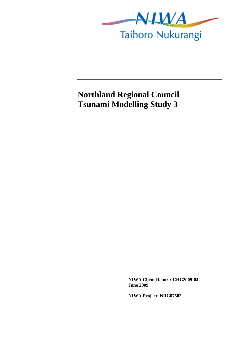

## **Northland Regional Council Tsunami Modelling Study 3**

**NIWA Client Report: CHC2009-042 June 2009** 

**NIWA Project: NRC07502**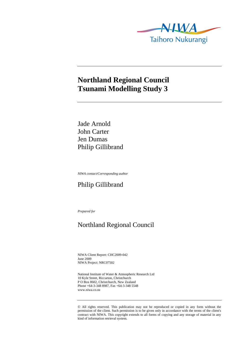

### **Northland Regional Council Tsunami Modelling Study 3**

Jade Arnold John Carter Jen Dumas Philip Gillibrand

*NIWA contact/Corresponding author* 

#### Philip Gillibrand

*Prepared for* 

### Northland Regional Council

NIWA Client Report: CHC2009-042 June 2009 NIWA Project: NRC07502

National Institute of Water & Atmospheric Research Ltd 10 Kyle Street, Riccarton, Christchurch P O Box 8602, Christchurch, New Zealand Phone +64-3-348 8987, Fax +64-3-348 5548 www.niwa.co.nz

© All rights reserved. This publication may not be reproduced or copied in any form without the permission of the client. Such permission is to be given only in accordance with the terms of the client's contract with NIWA. This copyright extends to all forms of copying and any storage of material in any kind of information retrieval system.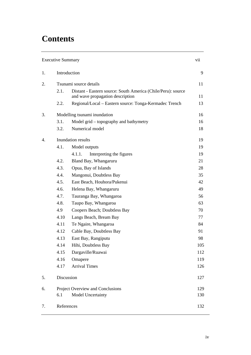# **Contents**

| <b>Executive Summary</b> |                                  |                                                                                                  | vii |
|--------------------------|----------------------------------|--------------------------------------------------------------------------------------------------|-----|
| 1.                       | Introduction                     |                                                                                                  |     |
| 2.                       | Tsunami source details           |                                                                                                  | 11  |
|                          | 2.1.                             | Distant - Eastern source: South America (Chile/Peru): source<br>and wave propagation description | 11  |
|                          | 2.2.                             | Regional/Local – Eastern source: Tonga-Kermadec Trench                                           | 13  |
| 3.                       | Modelling tsunami inundation     |                                                                                                  | 16  |
|                          | 3.1.                             | Model grid – topography and bathymetry                                                           | 16  |
|                          | 3.2.                             | Numerical model                                                                                  | 18  |
| $\overline{4}$ .         | Inundation results               |                                                                                                  | 19  |
|                          | 4.1.                             | Model outputs                                                                                    | 19  |
|                          |                                  | Interpreting the figures<br>4.1.1.                                                               | 19  |
|                          | 4.2.                             | Bland Bay, Whangaruru                                                                            | 21  |
|                          | 4.3.                             | Opua, Bay of Islands                                                                             | 28  |
|                          | 4.4.                             | Mangonui, Doubtless Bay                                                                          | 35  |
|                          | 4.5.                             | East Beach, Houhora/Pukenui                                                                      | 42  |
|                          | 4.6.                             | Helena Bay, Whangaruru                                                                           | 49  |
|                          | 4.7.                             | Tauranga Bay, Whangaroa                                                                          | 56  |
|                          | 4.8.                             | Taupo Bay, Whangaroa                                                                             | 63  |
|                          | 4.9                              | Coopers Beach; Doubtless Bay                                                                     | 70  |
|                          | 4.10                             | Langs Beach, Bream Bay                                                                           | 77  |
|                          | 4.11                             | Te Ngaire, Whangaroa                                                                             | 84  |
|                          | 4.12                             | Cable Bay, Doubtless Bay                                                                         | 91  |
|                          | 4.13                             | East Bay, Rangiputu                                                                              | 98  |
|                          | 4.14                             | Hihi, Doubtless Bay                                                                              | 105 |
|                          | 4.15                             | Dargaville/Ruawai                                                                                | 112 |
|                          | 4.16                             | Omapere                                                                                          | 119 |
|                          | 4.17                             | <b>Arrival Times</b>                                                                             | 126 |
| 5.                       | Discussion                       |                                                                                                  | 127 |
| 6.                       | Project Overview and Conclusions |                                                                                                  | 129 |
|                          | 6.1                              | Model Uncertainty                                                                                | 130 |
| 7.                       | References                       |                                                                                                  | 132 |